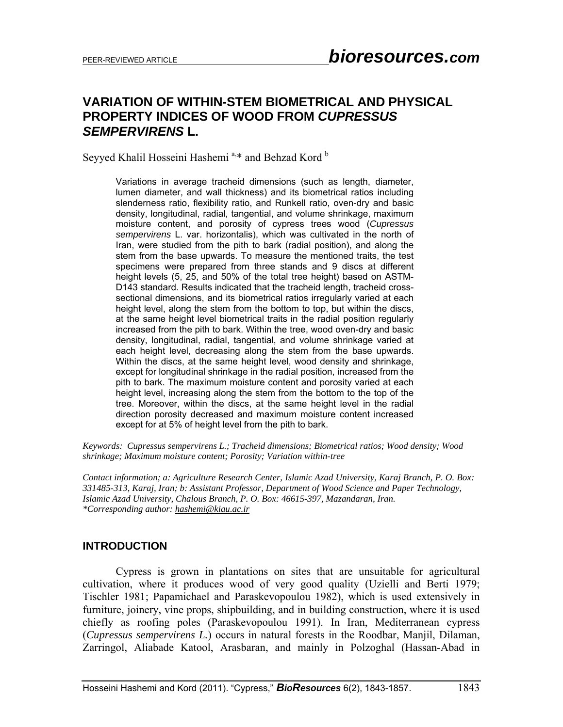# **VARIATION OF WITHIN-STEM BIOMETRICAL AND PHYSICAL PROPERTY INDICES OF WOOD FROM** *CUPRESSUS SEMPERVIRENS* **L.**

Seyyed Khalil Hosseini Hashemi<sup>a,\*</sup> and Behzad Kord<sup>b</sup>

Variations in average tracheid dimensions (such as length, diameter, lumen diameter, and wall thickness) and its biometrical ratios including slenderness ratio, flexibility ratio, and Runkell ratio, oven-dry and basic density, longitudinal, radial, tangential, and volume shrinkage, maximum moisture content, and porosity of cypress trees wood (*Cupressus sempervirens* L. var. horizontalis), which was cultivated in the north of Iran, were studied from the pith to bark (radial position), and along the stem from the base upwards. To measure the mentioned traits, the test specimens were prepared from three stands and 9 discs at different height levels (5, 25, and 50% of the total tree height) based on ASTM-D143 standard. Results indicated that the tracheid length, tracheid crosssectional dimensions, and its biometrical ratios irregularly varied at each height level, along the stem from the bottom to top, but within the discs, at the same height level biometrical traits in the radial position regularly increased from the pith to bark. Within the tree, wood oven-dry and basic density, longitudinal, radial, tangential, and volume shrinkage varied at each height level, decreasing along the stem from the base upwards. Within the discs, at the same height level, wood density and shrinkage, except for longitudinal shrinkage in the radial position, increased from the pith to bark. The maximum moisture content and porosity varied at each height level, increasing along the stem from the bottom to the top of the tree. Moreover, within the discs, at the same height level in the radial direction porosity decreased and maximum moisture content increased except for at 5% of height level from the pith to bark.

*Keywords: Cupressus sempervirens L.; Tracheid dimensions; Biometrical ratios; Wood density; Wood shrinkage; Maximum moisture content; Porosity; Variation within-tree* 

*Contact information; a: Agriculture Research Center, Islamic Azad University, Karaj Branch, P. O. Box: 331485-313, Karaj, Iran; b: Assistant Professor, Department of Wood Science and Paper Technology, Islamic Azad University, Chalous Branch, P. O. Box: 46615-397, Mazandaran, Iran. \*Corresponding author: hashemi@kiau.ac.ir* 

#### **INTRODUCTION**

 Cypress is grown in plantations on sites that are unsuitable for agricultural cultivation, where it produces wood of very good quality (Uzielli and Berti 1979; Tischler 1981; Papamichael and Paraskevopoulou 1982), which is used extensively in furniture, joinery, vine props, shipbuilding, and in building construction, where it is used chiefly as roofing poles (Paraskevopoulou 1991). In Iran, Mediterranean cypress (*Cupressus sempervirens L.*) occurs in natural forests in the Roodbar, Manjil, Dilaman, Zarringol, Aliabade Katool, Arasbaran, and mainly in Polzoghal (Hassan-Abad in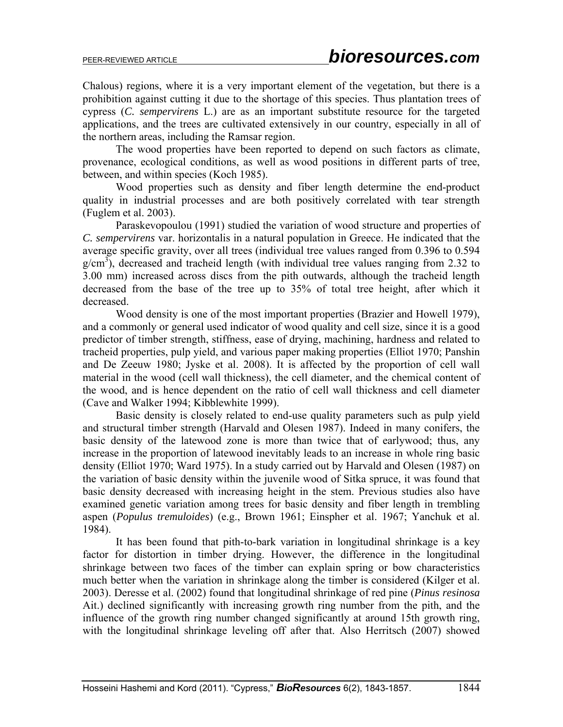Chalous) regions, where it is a very important element of the vegetation, but there is a prohibition against cutting it due to the shortage of this species. Thus plantation trees of cypress (*C. sempervirens* L.) are as an important substitute resource for the targeted applications, and the trees are cultivated extensively in our country, especially in all of the northern areas, including the Ramsar region.

The wood properties have been reported to depend on such factors as climate, provenance, ecological conditions, as well as wood positions in different parts of tree, between, and within species (Koch 1985).

Wood properties such as density and fiber length determine the end-product quality in industrial processes and are both positively correlated with tear strength (Fuglem et al. 2003).

Paraskevopoulou (1991) studied the variation of wood structure and properties of *C. sempervirens* var. horizontalis in a natural population in Greece. He indicated that the average specific gravity, over all trees (individual tree values ranged from 0.396 to 0.594  $g/cm<sup>3</sup>$ ), decreased and tracheid length (with individual tree values ranging from 2.32 to 3.00 mm) increased across discs from the pith outwards, although the tracheid length decreased from the base of the tree up to 35% of total tree height, after which it decreased.

Wood density is one of the most important properties (Brazier and Howell 1979), and a commonly or general used indicator of wood quality and cell size, since it is a good predictor of timber strength, stiffness, ease of drying, machining, hardness and related to tracheid properties, pulp yield, and various paper making properties (Elliot 1970; Panshin and De Zeeuw 1980; Jyske et al. 2008). It is affected by the proportion of cell wall material in the wood (cell wall thickness), the cell diameter, and the chemical content of the wood, and is hence dependent on the ratio of cell wall thickness and cell diameter (Cave and Walker 1994; Kibblewhite 1999).

Basic density is closely related to end-use quality parameters such as pulp yield and structural timber strength (Harvald and Olesen 1987). Indeed in many conifers, the basic density of the latewood zone is more than twice that of earlywood; thus, any increase in the proportion of latewood inevitably leads to an increase in whole ring basic density (Elliot 1970; Ward 1975). In a study carried out by Harvald and Olesen (1987) on the variation of basic density within the juvenile wood of Sitka spruce, it was found that basic density decreased with increasing height in the stem. Previous studies also have examined genetic variation among trees for basic density and fiber length in trembling aspen (*Populus tremuloides*) (e.g., Brown 1961; Einspher et al. 1967; Yanchuk et al. 1984).

It has been found that pith-to-bark variation in longitudinal shrinkage is a key factor for distortion in timber drying. However, the difference in the longitudinal shrinkage between two faces of the timber can explain spring or bow characteristics much better when the variation in shrinkage along the timber is considered (Kilger et al. 2003). Deresse et al. (2002) found that longitudinal shrinkage of red pine (*Pinus resinosa* Ait.) declined significantly with increasing growth ring number from the pith, and the influence of the growth ring number changed significantly at around 15th growth ring, with the longitudinal shrinkage leveling off after that. Also Herritsch (2007) showed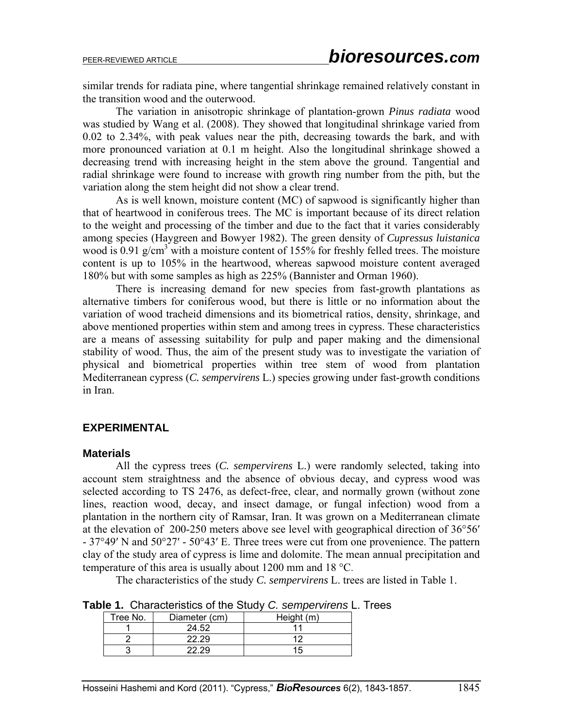similar trends for radiata pine, where tangential shrinkage remained relatively constant in the transition wood and the outerwood.

The variation in anisotropic shrinkage of plantation-grown *Pinus radiata* wood was studied by Wang et al. (2008). They showed that longitudinal shrinkage varied from 0.02 to 2.34%, with peak values near the pith, decreasing towards the bark, and with more pronounced variation at 0.1 m height. Also the longitudinal shrinkage showed a decreasing trend with increasing height in the stem above the ground. Tangential and radial shrinkage were found to increase with growth ring number from the pith, but the variation along the stem height did not show a clear trend.

As is well known, moisture content (MC) of sapwood is significantly higher than that of heartwood in coniferous trees. The MC is important because of its direct relation to the weight and processing of the timber and due to the fact that it varies considerably among species (Haygreen and Bowyer 1982). The green density of *Cupressus luistanica* wood is 0.91  $g/cm<sup>3</sup>$  with a moisture content of 155% for freshly felled trees. The moisture content is up to 105% in the heartwood, whereas sapwood moisture content averaged 180% but with some samples as high as 225% (Bannister and Orman 1960).

There is increasing demand for new species from fast-growth plantations as alternative timbers for coniferous wood, but there is little or no information about the variation of wood tracheid dimensions and its biometrical ratios, density, shrinkage, and above mentioned properties within stem and among trees in cypress. These characteristics are a means of assessing suitability for pulp and paper making and the dimensional stability of wood. Thus, the aim of the present study was to investigate the variation of physical and biometrical properties within tree stem of wood from plantation Mediterranean cypress (*C. sempervirens* L.) species growing under fast-growth conditions in Iran.

### **EXPERIMENTAL**

#### **Materials**

 All the cypress trees (*C. sempervirens* L.) were randomly selected, taking into account stem straightness and the absence of obvious decay, and cypress wood was selected according to TS 2476, as defect-free, clear, and normally grown (without zone lines, reaction wood, decay, and insect damage, or fungal infection) wood from a plantation in the northern city of Ramsar, Iran. It was grown on a Mediterranean climate at the elevation of 200-250 meters above see level with geographical direction of 36°56′ - 37°49′ N and 50°27′ - 50°43′ E. Three trees were cut from one provenience. The pattern clay of the study area of cypress is lime and dolomite. The mean annual precipitation and temperature of this area is usually about 1200 mm and 18 °C.

The characteristics of the study *C. sempervirens* L. trees are listed in Table 1.

|  | Table 1. Characteristics of the Study C. sempervirens L. Trees |  |  |  |  |
|--|----------------------------------------------------------------|--|--|--|--|
|--|----------------------------------------------------------------|--|--|--|--|

| Tree No. | Diameter (cm) | Height (m) |
|----------|---------------|------------|
|          | 24.52         |            |
|          | 22.29         |            |
|          |               |            |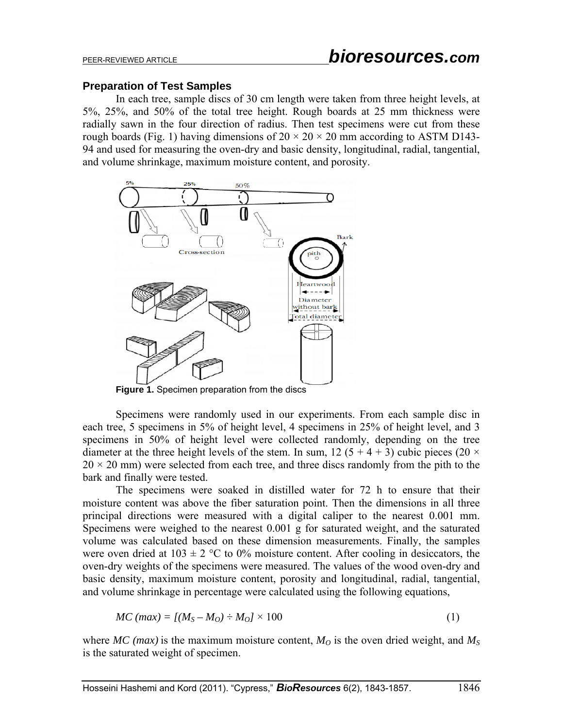#### **Preparation of Test Samples**

In each tree, sample discs of 30 cm length were taken from three height levels, at 5%, 25%, and 50% of the total tree height. Rough boards at 25 mm thickness were radially sawn in the four direction of radius. Then test specimens were cut from these rough boards (Fig. 1) having dimensions of  $20 \times 20 \times 20$  mm according to ASTM D143-94 and used for measuring the oven-dry and basic density, longitudinal, radial, tangential, and volume shrinkage, maximum moisture content, and porosity.



Specimens were randomly used in our experiments. From each sample disc in each tree, 5 specimens in 5% of height level, 4 specimens in 25% of height level, and 3 specimens in 50% of height level were collected randomly, depending on the tree diameter at the three height levels of the stem. In sum, 12 (5 + 4 + 3) cubic pieces (20  $\times$  $20 \times 20$  mm) were selected from each tree, and three discs randomly from the pith to the bark and finally were tested.

The specimens were soaked in distilled water for 72 h to ensure that their moisture content was above the fiber saturation point. Then the dimensions in all three principal directions were measured with a digital caliper to the nearest 0.001 mm. Specimens were weighed to the nearest 0.001 g for saturated weight, and the saturated volume was calculated based on these dimension measurements. Finally, the samples were oven dried at  $103 \pm 2$  °C to 0% moisture content. After cooling in desiccators, the oven-dry weights of the specimens were measured. The values of the wood oven-dry and basic density, maximum moisture content, porosity and longitudinal, radial, tangential, and volume shrinkage in percentage were calculated using the following equations,

$$
MC \ (max) = [(M_S - M_O) \div M_O] \times 100 \tag{1}
$$

where *MC* (*max*) is the maximum moisture content,  $M<sub>O</sub>$  is the oven dried weight, and  $M<sub>S</sub>$ is the saturated weight of specimen.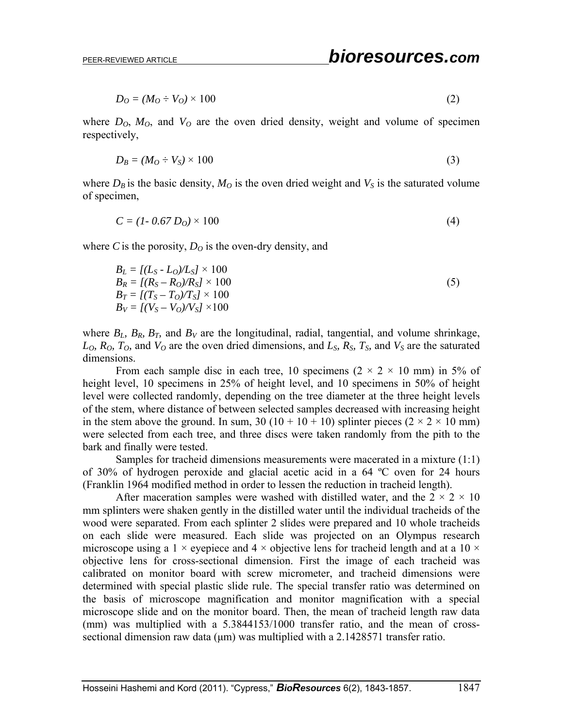$$
D_O = (M_O \div V_O) \times 100 \tag{2}
$$

where  $D_0$ ,  $M_0$ , and  $V_0$  are the oven dried density, weight and volume of specimen respectively,

$$
D_B = (M_O \div V_S) \times 100 \tag{3}
$$

where  $D_B$  is the basic density,  $M_O$  is the oven dried weight and  $V_S$  is the saturated volume of specimen,

$$
C = (1 - 0.67 D0) \times 100
$$
 (4)

where *C* is the porosity,  $D<sub>O</sub>$  is the oven-dry density, and

$$
B_L = [(L_S - L_O)/L_S] \times 100
$$
  
\n
$$
B_R = [(R_S - R_O)/R_S] \times 100
$$
  
\n
$$
B_T = [(T_S - T_O)/T_S] \times 100
$$
  
\n
$$
B_V = [(V_S - V_O)/V_S] \times 100
$$
\n(5)

where  $B_L$ ,  $B_R$ ,  $B_T$ , and  $B_V$  are the longitudinal, radial, tangential, and volume shrinkage,  $L_0$ ,  $R_0$ ,  $T_0$ , and  $V_0$  are the oven dried dimensions, and  $L_s$ ,  $R_s$ ,  $T_s$ , and  $V_s$  are the saturated dimensions.

From each sample disc in each tree, 10 specimens  $(2 \times 2 \times 10 \text{ mm})$  in 5% of height level, 10 specimens in 25% of height level, and 10 specimens in 50% of height level were collected randomly, depending on the tree diameter at the three height levels of the stem, where distance of between selected samples decreased with increasing height in the stem above the ground. In sum, 30 (10 + 10 + 10) splinter pieces (2  $\times$  2  $\times$  10 mm) were selected from each tree, and three discs were taken randomly from the pith to the bark and finally were tested.

Samples for tracheid dimensions measurements were macerated in a mixture (1:1) of 30% of hydrogen peroxide and glacial acetic acid in a 64 ºC oven for 24 hours (Franklin 1964 modified method in order to lessen the reduction in tracheid length).

After maceration samples were washed with distilled water, and the  $2 \times 2 \times 10$ mm splinters were shaken gently in the distilled water until the individual tracheids of the wood were separated. From each splinter 2 slides were prepared and 10 whole tracheids on each slide were measured. Each slide was projected on an Olympus research microscope using a 1  $\times$  eyepiece and 4  $\times$  objective lens for tracheid length and at a 10  $\times$ objective lens for cross-sectional dimension. First the image of each tracheid was calibrated on monitor board with screw micrometer, and tracheid dimensions were determined with special plastic slide rule. The special transfer ratio was determined on the basis of microscope magnification and monitor magnification with a special microscope slide and on the monitor board. Then, the mean of tracheid length raw data (mm) was multiplied with a 5.3844153/1000 transfer ratio, and the mean of crosssectional dimension raw data (um) was multiplied with a 2.1428571 transfer ratio.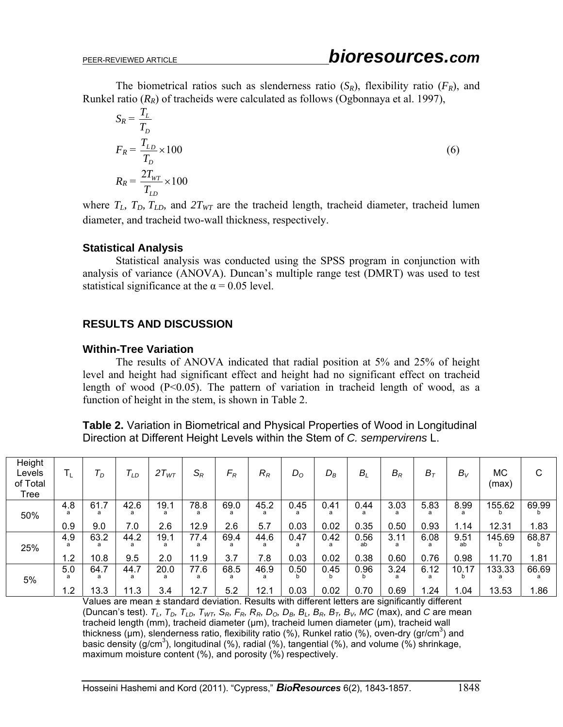The biometrical ratios such as slenderness ratio  $(S_R)$ , flexibility ratio  $(F_R)$ , and Runkel ratio  $(R_R)$  of tracheids were calculated as follows (Ogbonnaya et al. 1997),

$$
S_R = \frac{T_L}{T_D}
$$
  
\n
$$
F_R = \frac{T_{LD}}{T_D} \times 100
$$
  
\n
$$
R_R = \frac{2T_{WT}}{T_{LD}} \times 100
$$
\n(6)

where  $T_L$ ,  $T_D$ ,  $T_{LD}$ , and  $2T_{WT}$  are the tracheid length, tracheid diameter, tracheid lumen diameter, and tracheid two-wall thickness, respectively.

### **Statistical Analysis**

Statistical analysis was conducted using the SPSS program in conjunction with analysis of variance (ANOVA). Duncan's multiple range test (DMRT) was used to test statistical significance at the  $\alpha$  = 0.05 level.

## **RESULTS AND DISCUSSION**

### **Within-Tree Variation**

The results of ANOVA indicated that radial position at 5% and 25% of height level and height had significant effect and height had no significant effect on tracheid length of wood (P<0.05). The pattern of variation in tracheid length of wood, as a function of height in the stem, is shown in Table 2.

**Table 2.** Variation in Biometrical and Physical Properties of Wood in Longitudinal Direction at Different Height Levels within the Stem of *C. sempervirens* L.

| Height<br>Levels<br>of Total<br>Tree | $T_{L}$         | $\tau_{\scriptscriptstyle\mathcal{D}}$ | $\mathcal{T}_{LD}$ | $2T_{WT}$        | $\mathsf{S}_{\mathsf{R}}$ | $F_R$            | $R_R$             | $D_{\rm O}$  | $D_B$             | $B_L$              | $B_{R}$           | $B_T$             | $B_V$              | <b>MC</b><br>(max) | C             |
|--------------------------------------|-----------------|----------------------------------------|--------------------|------------------|---------------------------|------------------|-------------------|--------------|-------------------|--------------------|-------------------|-------------------|--------------------|--------------------|---------------|
| 50%                                  | 4.8<br>a<br>0.9 | 61.7<br>a<br>9.0                       | 42.6<br>a<br>7.0   | 19.1<br>а<br>2.6 | 78.8<br>a<br>12.9         | 69.0<br>a<br>2.6 | 45.2<br>a<br>5.7  | 0.45<br>0.03 | 0.41<br>a<br>0.02 | 0.44<br>a<br>0.35  | 3.03<br>a<br>0.50 | 5.83<br>a<br>0.93 | 8.99<br>a<br>1.14  | 155.62<br>12.31    | 69.99<br>1.83 |
| 25%                                  | 4.9<br>a<br>1.2 | 63.2<br>a<br>10.8                      | 44.2<br>a<br>9.5   | 19.1<br>a<br>2.0 | 77.4<br>a<br>11.9         | 69.4<br>a<br>3.7 | 44.6<br>a<br>7.8  | 0.47<br>0.03 | 0.42<br>a<br>0.02 | 0.56<br>ab<br>0.38 | 3.11<br>a<br>0.60 | 6.08<br>a<br>0.76 | 9.51<br>ab<br>0.98 | 145.69<br>11.70    | 68.87<br>1.81 |
| 5%                                   | 5.0<br>a<br>1.2 | 64.7<br>13.3                           | 44.7<br>a<br>11.3  | 20.0<br>a<br>3.4 | 77.6<br>a<br>12.7         | 68.5<br>5.2      | 46.9<br>a<br>12.1 | 0.50<br>0.03 | 0.45<br>b<br>0.02 | 0.96<br>0.70       | 3.24<br>a<br>0.69 | 6.12<br>а<br>.24  | 10.17<br>b<br>.04  | 133.33<br>13.53    | 66.69<br>1.86 |

Values are mean ± standard deviation. Results with different letters are significantly different (Duncan's test).  $T_L$ ,  $T_D$ ,  $T_{LD}$ ,  $T_{WT}$ ,  $S_R$ ,  $F_R$ ,  $R_R$ ,  $D_O$ ,  $D_B$ ,  $B_L$ ,  $B_R$ ,  $B_T$ ,  $B_V$ ,  $MC$  (max), and *C* are mean tracheid length (mm), tracheid diameter (μm), tracheid lumen diameter (μm), tracheid wall thickness (um), slenderness ratio, flexibility ratio (%), Runkel ratio (%), oven-dry (gr/cm<sup>3</sup>) and basic density (g/cm<sup>3</sup>), longitudinal (%), radial (%), tangential (%), and volume (%) shrinkage, maximum moisture content (%), and porosity (%) respectively.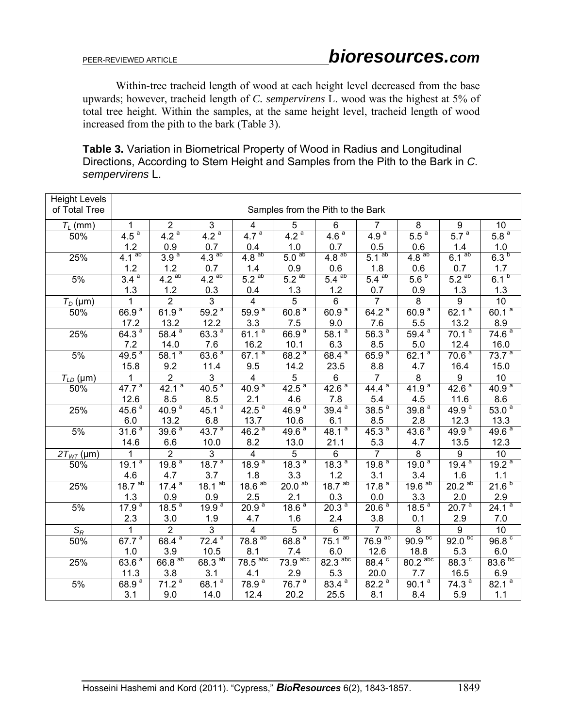Within-tree tracheid length of wood at each height level decreased from the base upwards; however, tracheid length of *C. sempervirens* L. wood was the highest at 5% of total tree height. Within the samples, at the same height level, tracheid length of wood increased from the pith to the bark (Table 3).

**Table 3.** Variation in Biometrical Property of Wood in Radius and Longitudinal Directions, According to Stem Height and Samples from the Pith to the Bark in *C. sempervirens* L.

| <b>Height Levels</b><br>of Total Tree | Samples from the Pith to the Bark |                    |                     |                       |                    |                       |                     |                    |                    |                    |
|---------------------------------------|-----------------------------------|--------------------|---------------------|-----------------------|--------------------|-----------------------|---------------------|--------------------|--------------------|--------------------|
| $T_L$ (mm)                            | 1                                 | $\overline{2}$     | $\overline{\omega}$ | 4                     | $\overline{5}$     | $\overline{6}$        | $\overline{7}$      | 8                  | 9                  | 10                 |
| 50%                                   | 4.5 <sup>a</sup>                  | 4.2 <sup>a</sup>   | 4.2 <sup>a</sup>    | 4.7 <sup>a</sup>      | 4.2 <sup>a</sup>   | 4.6 <sup>a</sup>      | 4.9 <sup>a</sup>    | 5.5 <sup>a</sup>   | 5.7 <sup>a</sup>   | 5.8 <sup>a</sup>   |
|                                       | 1.2                               | 0.9                | 0.7                 | 0.4                   | 1.0                | 0.7                   | 0.5                 | 0.6                | 1.4                | 1.0                |
| 25%                                   | 4.1 <sup>ab</sup>                 | 3.9 <sup>a</sup>   | 4.3 <sup>ab</sup>   | ab<br>4.8             | 5.0 <sup>ab</sup>  | 4.8 <sup>ab</sup>     | 5.1 <sup>ab</sup>   | 4.8 <sup>ab</sup>  | 6.1 <sup>ab</sup>  | 6.3 <sup>b</sup>   |
|                                       | 1.2                               | 1.2                | 0.7                 | 1.4                   | $0.9\,$            | 0.6                   | 1.8                 | 0.6                | 0.7                | 1.7                |
| 5%                                    | 3.4 <sup>a</sup>                  | 4.2 <sup>ab</sup>  | 4.2 <sup>ab</sup>   | 5.2 <sup>ab</sup>     | 5.2 <sup>ab</sup>  | $5.4$ <sup>ab</sup>   | $5.4$ <sup>ab</sup> | 5.6 <sup>b</sup>   | 5.2 <sup>ab</sup>  | 6.1 <sup>b</sup>   |
|                                       | 1.3                               | 1.2                | 0.3                 | 0.4                   | 1.3                | 1.2                   | 0.7                 | 0.9                | 1.3                | 1.3                |
| $T_D$ (µm)                            | $\overline{1}$                    | $\overline{2}$     | $\overline{3}$      | $\overline{4}$        | $\overline{5}$     | $\overline{6}$        | $\overline{7}$      | $\overline{8}$     | $\overline{9}$     | 10                 |
| 50%                                   | 66.9 <sup>a</sup>                 | 61.9 <sup>a</sup>  | 59.2 <sup>a</sup>   | 59.9 <sup>a</sup>     | 60.8 <sup>a</sup>  | 60.9 <sup>a</sup>     | 64.2 <sup>a</sup>   | 60.9 <sup>a</sup>  | 62.1 <sup>a</sup>  | 60.1 <sup>a</sup>  |
|                                       | 17.2                              | 13.2               | 12.2                | 3.3                   | 7.5                | 9.0                   | 7.6                 | 5.5                | 13.2               | 8.9                |
| 25%                                   | 64.3 <sup>a</sup>                 | $58.4^{a}$         | 63.3 <sup>a</sup>   | 61.1 <sup>a</sup>     | 66.9 <sup>a</sup>  | $58.1^{a}$            | 56.3 <sup>a</sup>   | $59.4^{a}$         | 70.1 <sup>a</sup>  | 74.6 <sup>a</sup>  |
|                                       | 7.2                               | 14.0               | 7.6                 | 16.2                  | 10.1               | 6.3                   | 8.5                 | 5.0                | 12.4               | 16.0               |
| 5%                                    | $49.5^{a}$                        | 58.1 <sup>a</sup>  | 63.6 <sup>a</sup>   | 67.1 <sup>a</sup>     | 68.2 <sup>a</sup>  | $68.4^{a}$            | 65.9 <sup>a</sup>   | 62.1 <sup>a</sup>  | 70.6 <sup>a</sup>  | 73.7 <sup>a</sup>  |
|                                       | 15.8                              | 9.2                | 11.4                | 9.5                   | 14.2               | 23.5                  | 8.8                 | 4.7                | 16.4               | 15.0               |
| $T_{LD}(\mu m)$                       | $\mathbf{1}$                      | $\overline{2}$     | $\overline{3}$      | $\overline{4}$        | $\overline{5}$     | $\overline{6}$        | $\overline{7}$      | $\overline{8}$     | $\overline{9}$     | 10                 |
| 50%                                   | $47.7^{a}$                        | 42.1 <sup>a</sup>  | 40.5 <sup>a</sup>   | $40.9^{a}$            | $42.5^{a}$         | 42.6 <sup>a</sup>     | $44.4^{a}$          | 41.9 <sup>a</sup>  | 42.6 <sup>a</sup>  | 40.9 <sup>a</sup>  |
|                                       | 12.6                              | 8.5                | 8.5                 | 2.1                   | 4.6                | 7.8                   | 5.4                 | 4.5                | 11.6               | 8.6                |
| 25%                                   | 45.6 <sup>a</sup>                 | 40.9 <sup>a</sup>  | $45.1^{a}$          | 42.5 <sup>a</sup>     | 46.9 <sup>a</sup>  | $39.4^{a}$            | 38.5 <sup>a</sup>   | 39.8 <sup>a</sup>  | 49.9 <sup>a</sup>  | 53.0 <sup>a</sup>  |
|                                       | 6.0                               | 13.2               | 6.8                 | 13.7                  | 10.6               | 6.1                   | 8.5                 | 2.8                | 12.3               | 13.3               |
| 5%                                    | 31.6 <sup>a</sup>                 | 39.6 <sup>a</sup>  | 43.7 <sup>a</sup>   | 46.2 <sup>a</sup>     | 49.6 <sup>a</sup>  | $48.1^{a}$            | 45.3 <sup>a</sup>   | 43.6 <sup>a</sup>  | 49.9 <sup>a</sup>  | 49.6 <sup>a</sup>  |
|                                       | 14.6                              | 6.6                | 10.0                | 8.2                   | 13.0               | 21.1                  | 5.3                 | 4.7                | 13.5               | 12.3               |
| $2T_{WT}$ (µm)                        | $\mathbf{1}$                      | $\overline{2}$     | $\overline{3}$      | $\overline{4}$        | $\overline{5}$     | $\overline{6}$        | $\overline{7}$      | $\overline{8}$     | $\overline{9}$     | 10                 |
| 50%                                   | a<br>19.1                         | 19.8 <sup>a</sup>  | 18.7 <sup>a</sup>   | 18.9 <sup>a</sup>     | 18.3 <sup>a</sup>  | 18.3 <sup>a</sup>     | 19.8 <sup>a</sup>   | 19.0 <sup>a</sup>  | 19.4 <sup>a</sup>  | 19.2 <sup>a</sup>  |
|                                       | 4.6                               | 4.7                | 3.7                 | 1.8                   | 3.3                | 1.2                   | 3.1                 | 3.4                | 1.6                | 1.1                |
| 25%                                   | 18.7 <sup>ab</sup>                | $17.4^{a}$         | $18.1^{ab}$         | 18.6 <sup>ab</sup>    | 20.0 <sup>ab</sup> | 18.7 <sup>ab</sup>    | 17.8 <sup>a</sup>   | 19.6 <sup>ab</sup> | 20.2 <sup>ab</sup> | 21.6 <sup>b</sup>  |
|                                       | 1.3                               | 0.9                | 0.9                 | 2.5                   | 2.1                | 0.3                   | 0.0                 | 3.3                | 2.0                | 2.9                |
| 5%                                    | 17.9 <sup>a</sup>                 | 18.5 <sup>a</sup>  | 19.9 <sup>a</sup>   | 20.9 <sup>a</sup>     | 18.6 <sup>a</sup>  | 20.3 <sup>a</sup>     | 20.6 <sup>a</sup>   | 18.5 <sup>a</sup>  | 20.7 <sup>a</sup>  | 24.1 <sup>a</sup>  |
|                                       | 2.3                               | 3.0                | 1.9                 | 4.7                   | 1.6                | 2.4                   | 3.8                 | 0.1                | 2.9                | 7.0                |
| $S_R$                                 | $\overline{1}$                    | $\overline{2}$     | $\overline{3}$      | $\overline{4}$        | 5                  | $\overline{6}$        | $\overline{7}$      | $\overline{8}$     | $\overline{9}$     | 10                 |
| 50%                                   | 67.7 <sup>a</sup>                 | $68.4^{a}$         | 72.4 <sup>a</sup>   | 78.8 <sup>ab</sup>    | 68.8 <sup>a</sup>  | $75.1^{ab}$           | 76.9 <sup>ab</sup>  | 90.9 <sup>bc</sup> | 92.0 <sup>bc</sup> | 96.8 <sup>c</sup>  |
|                                       | 1.0                               | 3.9                | 10.5                | 8.1                   | 7.4                | 6.0                   | 12.6                | 18.8               | 5.3                | 6.0                |
| 25%                                   | 63.6 <sup>a</sup>                 | 66.8 <sup>ab</sup> | 68.3 <sup>ab</sup>  | $78.5$ <sup>abc</sup> | $73.9$ abc         | $82.3$ <sup>abc</sup> | 88.4 <sup>c</sup>   | $80.2$ abc         | 88.3 <sup>c</sup>  | 83.6 <sup>bc</sup> |
|                                       | 11.3                              | 3.8                | 3.1                 | 4.1                   | 2.9                | 5.3                   | 20.0                | 7.7                | 16.5               | 6.9                |
| 5%                                    | 68.9 <sup>a</sup>                 | 71.2 <sup>a</sup>  | 68.1 <sup>a</sup>   | 78.9 <sup>a</sup>     | 76.7 <sup>a</sup>  | $83.4^{a}$            | $82.2^{a}$          | 90.1 <sup>a</sup>  | $74.3^{a}$         | 82.1 <sup>a</sup>  |
|                                       | 3.1                               | 9.0                | 14.0                | 12.4                  | 20.2               | 25.5                  | 8.1                 | 8.4                | 5.9                | 1.1                |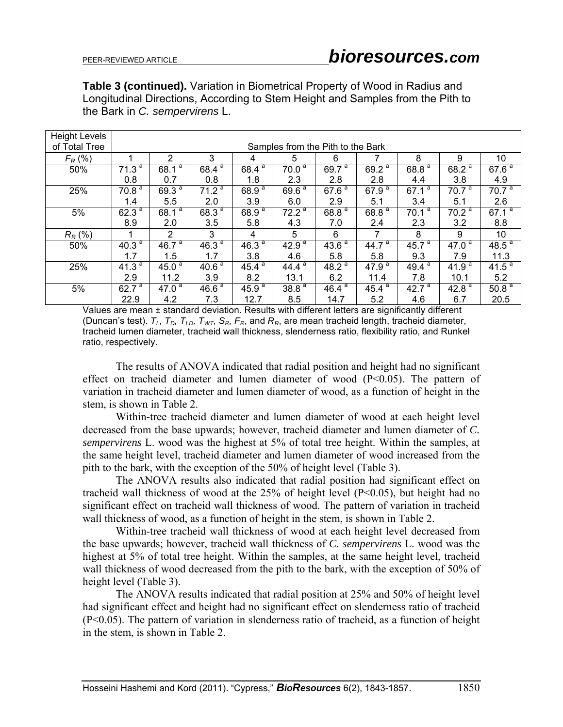**Table 3 (continued).** Variation in Biometrical Property of Wood in Radius and Longitudinal Directions, According to Stem Height and Samples from the Pith to the Bark in *C. sempervirens* L.

| <b>Height Levels</b> |                                   |                   |                   |                                  |                   |                       |                                  |                   |                       |                   |  |
|----------------------|-----------------------------------|-------------------|-------------------|----------------------------------|-------------------|-----------------------|----------------------------------|-------------------|-----------------------|-------------------|--|
| of Total Tree        | Samples from the Pith to the Bark |                   |                   |                                  |                   |                       |                                  |                   |                       |                   |  |
| $F_R$ (%)            |                                   | 2                 | 3                 | 4                                | 5                 | 6                     |                                  | 8                 | 9                     | 10                |  |
| 50%                  | 71.3 <sup>a</sup>                 | а<br>68.1         | а<br>68.4         | $68.4^{a}$                       | 70.0 <sup>a</sup> | $69.7^{a}$            | $69.2^{a}$                       | 68.8 <sup>a</sup> | $68.2^{\overline{a}}$ | 67.6 <sup>a</sup> |  |
|                      | 0.8                               | 0.7               | 0.8               | 1.8                              | 2.3               | 2.8                   | 2.8                              | 4.4               | 3.8                   | 4.9               |  |
| 25%                  | 70.8 <sup>a</sup>                 | $69.3^{a}$        | 71.2 <sup>a</sup> | $68.\overline{9}^{\overline{a}}$ | 69.6 <sup>a</sup> | $67.\overline{6}^{a}$ | 67.9 <sup>a</sup>                | $67.1^{a}$        | 70.7 <sup>a</sup>     | 70.7 <sup>a</sup> |  |
|                      | 1.4                               | 5.5               | 2.0               | 3.9                              | 6.0               | 2.9                   | 5.1                              | 3.4               | 5.1                   | 2.6               |  |
| 5%                   | 62.3 $a$                          | $68.1^{a}$        | 68.3 <sup>a</sup> | $68.9^{a}$                       | 72.2 <sup>a</sup> | 68.8 <sup>a</sup>     | $68.8^{a}$                       | $70.1^{a}$        | 70.2 <sup>a</sup>     | 67.1 <sup>a</sup> |  |
|                      | 8.9                               | 2.0               | 3.5               | 5.8                              | 4.3               | 7.0                   | 2.4                              | 2.3               | 3.2                   | 8.8               |  |
| $R_R$ (%)            |                                   | $\overline{2}$    | 3                 | 4                                | 5                 | 6                     | 7                                | 8                 | 9                     | 10                |  |
| 50%                  | $40.3^{a}$                        | $46.7^{a}$        | 46.3 <sup>a</sup> | $46.3^{a}$                       | 42.9 <sup>a</sup> | 43.6 <sup>a</sup>     | $44.7^{a}$                       | $45.7^{a}$        | 47.0 $a$              | 48.5 <sup>a</sup> |  |
|                      | 1.7                               | 1.5               | 1.7               | 3.8                              | 4.6               | 5.8                   | 5.8                              | 9.3               | 7.9                   | 11.3              |  |
| 25%                  | 41.3 <sup>a</sup>                 | 45.0 <sup>a</sup> | 40.6 <sup>a</sup> | $45.4^{a}$                       | а<br>44.4         | 48.2 <sup>a</sup>     | $47.9^{a}$                       | $49.4^{a}$        | 41.9 $a$              | 41.5 <sup>a</sup> |  |
|                      | 2.9                               | 11.2              | 3.9               | 8.2                              | 13.1              | 6.2                   | 11.4                             | 7.8               | 10.1                  | 5.2               |  |
| 5%                   | $62.\overline{7}^{\ a}$           | 47.0 <sup>a</sup> | 46.6 <sup>a</sup> | $45.9^{\overline{a}}$            | 38.8 <sup>a</sup> | 46.4 <sup>a</sup>     | $45.\overline{4}^{\overline{a}}$ | 42.7 $a$          | 42.8 $a$              | 50.8 <sup>a</sup> |  |
|                      | 22.9                              | 4.2               | 7.3               | 12.7                             | 8.5               | 14.7                  | 5.2                              | 4.6               | 6.7                   | 20.5              |  |

Values are mean ± standard deviation. Results with different letters are significantly different (Duncan's test). *TL, TD, TLD, TWT, SR, FR*, and *RR*, are mean tracheid length, tracheid diameter, tracheid lumen diameter, tracheid wall thickness, slenderness ratio, flexibility ratio, and Runkel ratio, respectively.

The results of ANOVA indicated that radial position and height had no significant effect on tracheid diameter and lumen diameter of wood  $(P<0.05)$ . The pattern of variation in tracheid diameter and lumen diameter of wood, as a function of height in the stem, is shown in Table 2.

Within-tree tracheid diameter and lumen diameter of wood at each height level decreased from the base upwards; however, tracheid diameter and lumen diameter of *C. sempervirens* L. wood was the highest at 5% of total tree height. Within the samples, at the same height level, tracheid diameter and lumen diameter of wood increased from the pith to the bark, with the exception of the 50% of height level (Table 3).

The ANOVA results also indicated that radial position had significant effect on tracheid wall thickness of wood at the 25% of height level (P<0.05), but height had no significant effect on tracheid wall thickness of wood. The pattern of variation in tracheid wall thickness of wood, as a function of height in the stem, is shown in Table 2.

Within-tree tracheid wall thickness of wood at each height level decreased from the base upwards; however, tracheid wall thickness of *C. sempervirens* L. wood was the highest at 5% of total tree height. Within the samples, at the same height level, tracheid wall thickness of wood decreased from the pith to the bark, with the exception of 50% of height level (Table 3).

The ANOVA results indicated that radial position at 25% and 50% of height level had significant effect and height had no significant effect on slenderness ratio of tracheid (P<0.05). The pattern of variation in slenderness ratio of tracheid, as a function of height in the stem, is shown in Table 2.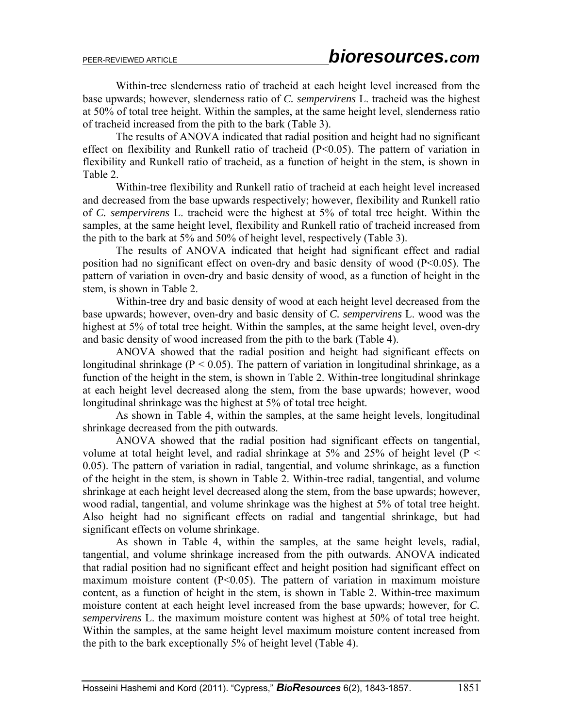Within-tree slenderness ratio of tracheid at each height level increased from the base upwards; however, slenderness ratio of *C. sempervirens* L. tracheid was the highest at 50% of total tree height. Within the samples, at the same height level, slenderness ratio of tracheid increased from the pith to the bark (Table 3).

The results of ANOVA indicated that radial position and height had no significant effect on flexibility and Runkell ratio of tracheid (P<0.05). The pattern of variation in flexibility and Runkell ratio of tracheid, as a function of height in the stem, is shown in Table 2.

Within-tree flexibility and Runkell ratio of tracheid at each height level increased and decreased from the base upwards respectively; however, flexibility and Runkell ratio of *C. sempervirens* L. tracheid were the highest at 5% of total tree height. Within the samples, at the same height level, flexibility and Runkell ratio of tracheid increased from the pith to the bark at 5% and 50% of height level, respectively (Table 3).

The results of ANOVA indicated that height had significant effect and radial position had no significant effect on oven-dry and basic density of wood (P<0.05). The pattern of variation in oven-dry and basic density of wood, as a function of height in the stem, is shown in Table 2.

Within-tree dry and basic density of wood at each height level decreased from the base upwards; however, oven-dry and basic density of *C. sempervirens* L. wood was the highest at 5% of total tree height. Within the samples, at the same height level, oven-dry and basic density of wood increased from the pith to the bark (Table 4).

ANOVA showed that the radial position and height had significant effects on longitudinal shrinkage ( $P < 0.05$ ). The pattern of variation in longitudinal shrinkage, as a function of the height in the stem, is shown in Table 2. Within-tree longitudinal shrinkage at each height level decreased along the stem, from the base upwards; however, wood longitudinal shrinkage was the highest at 5% of total tree height.

As shown in Table 4, within the samples, at the same height levels, longitudinal shrinkage decreased from the pith outwards.

ANOVA showed that the radial position had significant effects on tangential, volume at total height level, and radial shrinkage at 5% and 25% of height level ( $P \leq$ 0.05). The pattern of variation in radial, tangential, and volume shrinkage, as a function of the height in the stem, is shown in Table 2. Within-tree radial, tangential, and volume shrinkage at each height level decreased along the stem, from the base upwards; however, wood radial, tangential, and volume shrinkage was the highest at 5% of total tree height. Also height had no significant effects on radial and tangential shrinkage, but had significant effects on volume shrinkage.

As shown in Table 4, within the samples, at the same height levels, radial, tangential, and volume shrinkage increased from the pith outwards. ANOVA indicated that radial position had no significant effect and height position had significant effect on maximum moisture content  $(P<0.05)$ . The pattern of variation in maximum moisture content, as a function of height in the stem, is shown in Table 2. Within-tree maximum moisture content at each height level increased from the base upwards; however, for *C. sempervirens* L. the maximum moisture content was highest at 50% of total tree height. Within the samples, at the same height level maximum moisture content increased from the pith to the bark exceptionally 5% of height level (Table 4).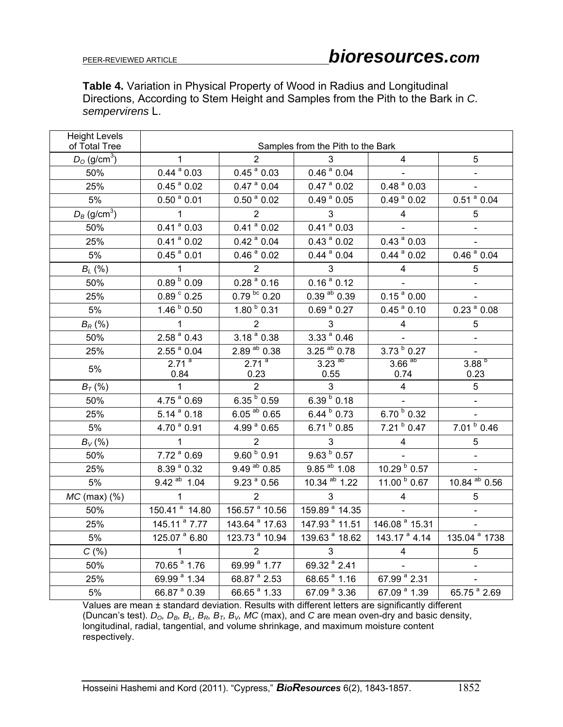**Table 4.** Variation in Physical Property of Wood in Radius and Longitudinal Directions, According to Stem Height and Samples from the Pith to the Bark in *C. sempervirens* L.

| <b>Height Levels</b><br>of Total Tree | Samples from the Pith to the Bark |                             |                                     |                                      |                            |  |  |  |  |  |  |
|---------------------------------------|-----------------------------------|-----------------------------|-------------------------------------|--------------------------------------|----------------------------|--|--|--|--|--|--|
| $D_{\rm O}$ (g/cm <sup>3</sup> )      | $\mathbf{1}$                      | $\overline{2}$              | 3                                   | 4                                    | 5                          |  |  |  |  |  |  |
| 50%                                   | $0.44$ <sup>a</sup> $0.03$        | $0.45$ <sup>a</sup> $0.03$  | $0.46$ <sup>a</sup> $0.04$          |                                      |                            |  |  |  |  |  |  |
| 25%                                   | $0.45$ <sup>a</sup> $0.02$        | $0.47$ <sup>a</sup> $0.04$  | $0.47$ <sup>a</sup> $0.02$          | $0.48a$ 0.03                         |                            |  |  |  |  |  |  |
| $5\%$                                 | $0.50$ <sup>a</sup> $0.01$        | $0.50$ <sup>a</sup> $0.02$  | $0.49$ <sup>a</sup> $0.05$          | $0.49$ <sup>a</sup> $0.02$           | $0.51$ <sup>a</sup> $0.04$ |  |  |  |  |  |  |
| $D_B$ (g/cm <sup>3</sup> )            | $\mathbf{1}$                      | $\overline{2}$              | $\mathbf{3}$                        | $\overline{4}$                       | $\sqrt{5}$                 |  |  |  |  |  |  |
| 50%                                   | $0.41$ <sup>a</sup> $0.03$        | $0.41$ <sup>a</sup> $0.02$  | $0.41$ <sup>a</sup> $0.03$          |                                      |                            |  |  |  |  |  |  |
| 25%                                   | $\overline{0.41}^{\text{a}} 0.02$ | $0.42$ <sup>a</sup> $0.04$  | $\overline{0.43}$ <sup>a</sup> 0.02 | $0.43$ <sup>a</sup> $0.03$           |                            |  |  |  |  |  |  |
| 5%                                    | $0.45^{\text{a}} 0.01$            | $0.46$ <sup>a</sup> $0.02$  | $0.44$ <sup>a</sup> $0.04$          | $0.44$ <sup>a</sup> $0.02$           | 0.46 <sup>a</sup> 0.04     |  |  |  |  |  |  |
| $B_L$ (%)                             | $\overline{1}$                    | 2                           | $\mathbf{3}$                        | $\overline{4}$                       | 5                          |  |  |  |  |  |  |
| 50%                                   | $0.89^{b}$ 0.09                   | $0.28a$ 0.16                | $0.16a$ 0.12                        |                                      |                            |  |  |  |  |  |  |
| 25%                                   | $0.89\,^{\circ}$ 0.25             | $0.79^{bc}$ 0.20            | $0.39$ <sup>ab</sup> $0.39$         | $0.15^{\text{ a}} 0.00$              |                            |  |  |  |  |  |  |
| 5%                                    | $1.46^{b}$ 0.50                   | $1.80^{b}$ 0.31             | $0.69$ <sup>a</sup> $0.27$          | $0.45$ <sup>a</sup> $0.10$           | $0.23$ <sup>a</sup> $0.08$ |  |  |  |  |  |  |
| $B_R$ (%)                             | $\mathbf{1}$                      | $\overline{2}$              | $\mathbf{3}$                        | $\overline{4}$                       | 5                          |  |  |  |  |  |  |
| 50%                                   | $2.58a$ 0.43                      | $3.18a$ 0.38                | 3.33 <sup>a</sup> 0.46              |                                      |                            |  |  |  |  |  |  |
| 25%                                   | $2.55a$ 0.04                      | $2.89$ <sup>ab</sup> $0.38$ | 3.25 ab 0.78                        | $3.73^{b}$ 0.27                      |                            |  |  |  |  |  |  |
| 5%                                    | 2.71 <sup>a</sup>                 | 2.71 <sup>a</sup>           | $3.23$ <sup>ab</sup>                | $3.66$ <sup>ab</sup>                 | $3.88^{b}$                 |  |  |  |  |  |  |
|                                       | 0.84                              | 0.23                        | 0.55                                | 0.74                                 | 0.23                       |  |  |  |  |  |  |
| $B_T$ (%)                             | $\mathbf{1}$                      | $\overline{2}$              | $\overline{3}$                      | $\overline{4}$                       | 5                          |  |  |  |  |  |  |
| 50%                                   | 4.75 <sup>ª</sup> 0.69            | $6.35^{b}$ 0.59             | $6.39^{b}$ 0.18                     |                                      |                            |  |  |  |  |  |  |
| 25%                                   | $5.14^{a}$ 0.18                   | $6.05^{ab}$ 0.65            | $6.44^{b}$ 0.73                     | $6.70^{b}$ 0.32                      |                            |  |  |  |  |  |  |
| 5%                                    | 4.70 <sup>a</sup> 0.91            | 4.99 <sup>ª</sup> 0.65      | $6.71^{b}$ 0.85                     | $7.21^{b}$ 0.47                      | $7.01^{b}$ 0.46            |  |  |  |  |  |  |
| $B_V$ (%)                             | $\mathbf{1}$                      | $\overline{2}$              | $\mathbf{3}$                        | $\overline{4}$                       | 5                          |  |  |  |  |  |  |
| 50%                                   | $7.72^{a}$ 0.69                   | $9.60^{b}$ 0.91             | $9.63\,\frac{b}{0.57}$              |                                      |                            |  |  |  |  |  |  |
| 25%                                   | 8.39 <sup>ª</sup> 0.32            | 9.49 ab 0.85                | 9.85 ab 1.08                        | 10.29 b 0.57                         |                            |  |  |  |  |  |  |
| 5%                                    | $9.42^{ab}$ 1.04                  | 9.23 <sup>a</sup> 0.56      | 10.34 ab 1.22                       | 11.00 b 0.67                         | 10.84 ab 0.56              |  |  |  |  |  |  |
| $MC$ (max) $(\%)$                     | $\mathbf{1}$                      | $\overline{2}$              | $\mathbf{3}$                        | $\overline{4}$                       | 5                          |  |  |  |  |  |  |
| 50%                                   | 150.41 <sup>a</sup> 14.80         | 156.57 <sup>a</sup> 10.56   | 159.89 <sup>ª</sup> 14.35           |                                      |                            |  |  |  |  |  |  |
| 25%                                   | 145.11 <sup>a</sup> 7.77          | $143.64$ <sup>a</sup> 17.63 | 147.93 <sup>ª</sup> 11.51           | 146.08 <sup>ª</sup> 15.31            |                            |  |  |  |  |  |  |
| 5%                                    | 125.07 <sup>ª</sup> 6.80          | 123.73 <sup>ª</sup> 10.94   | 139.63 <sup>ª</sup> 18.62           | 143.17 <sup>ª</sup> 4.14             | 135.04 <sup>ª</sup> 1738   |  |  |  |  |  |  |
| C(% )                                 | $\mathbf{1}$                      | $\overline{2}$              | 3                                   | $\overline{\mathbf{4}}$              | 5                          |  |  |  |  |  |  |
| 50%                                   | 70.65 <sup>ª</sup> 1.76           | 69.99 <sup>ª</sup> 1.77     | 69.32 <sup>ª</sup> 2.41             |                                      |                            |  |  |  |  |  |  |
| 25%                                   | 69.99 <sup>ª</sup> 1.34           | 68.87 <sup>ª</sup> 2.53     | 68.65 <sup>ª</sup> 1.16             | 67.99 <sup>ª</sup> 2.31              |                            |  |  |  |  |  |  |
| 5%                                    | 66.87 <sup>ª</sup> 0.39           | 66.65 <sup>ª</sup> 1.33     | 67.09 <sup>ª</sup> 3.36             | $\overline{67.09}$ <sup>a</sup> 1.39 | 65.75 <sup>ª</sup> 2.69    |  |  |  |  |  |  |

Values are mean ± standard deviation. Results with different letters are significantly different (Duncan's test).  $D_0$ ,  $D_B$ ,  $B_L$ ,  $B_R$ ,  $B_T$ ,  $B_V$ , MC (max), and *C* are mean oven-dry and basic density, longitudinal, radial, tangential, and volume shrinkage, and maximum moisture content respectively.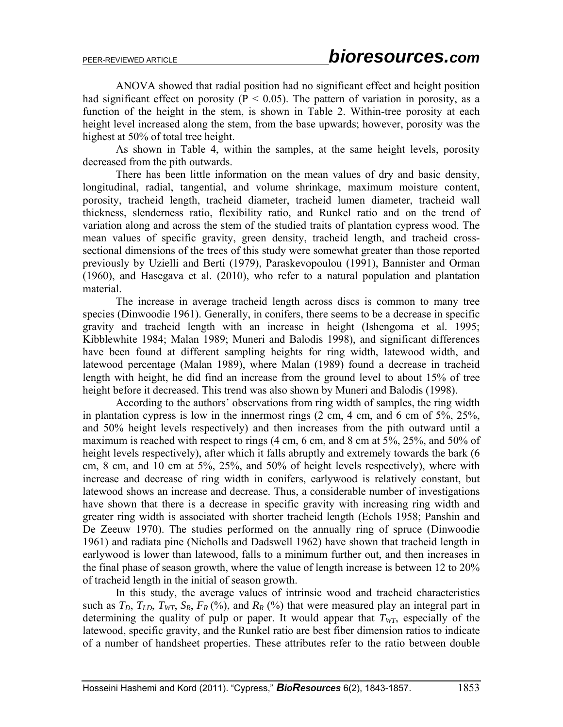ANOVA showed that radial position had no significant effect and height position had significant effect on porosity ( $P < 0.05$ ). The pattern of variation in porosity, as a function of the height in the stem, is shown in Table 2. Within-tree porosity at each height level increased along the stem, from the base upwards; however, porosity was the highest at 50% of total tree height.

As shown in Table 4, within the samples, at the same height levels, porosity decreased from the pith outwards.

There has been little information on the mean values of dry and basic density, longitudinal, radial, tangential, and volume shrinkage, maximum moisture content, porosity, tracheid length, tracheid diameter, tracheid lumen diameter, tracheid wall thickness, slenderness ratio, flexibility ratio, and Runkel ratio and on the trend of variation along and across the stem of the studied traits of plantation cypress wood. The mean values of specific gravity, green density, tracheid length, and tracheid crosssectional dimensions of the trees of this study were somewhat greater than those reported previously by Uzielli and Berti (1979), Paraskevopoulou (1991), Bannister and Orman (1960), and Hasegava et al. (2010), who refer to a natural population and plantation material.

The increase in average tracheid length across discs is common to many tree species (Dinwoodie 1961). Generally, in conifers, there seems to be a decrease in specific gravity and tracheid length with an increase in height (Ishengoma et al. 1995; Kibblewhite 1984; Malan 1989; Muneri and Balodis 1998), and significant differences have been found at different sampling heights for ring width, latewood width, and latewood percentage (Malan 1989), where Malan (1989) found a decrease in tracheid length with height, he did find an increase from the ground level to about 15% of tree height before it decreased. This trend was also shown by Muneri and Balodis (1998).

According to the authors' observations from ring width of samples, the ring width in plantation cypress is low in the innermost rings (2 cm, 4 cm, and 6 cm of 5%, 25%, and 50% height levels respectively) and then increases from the pith outward until a maximum is reached with respect to rings (4 cm, 6 cm, and 8 cm at 5%, 25%, and 50% of height levels respectively), after which it falls abruptly and extremely towards the bark (6 cm, 8 cm, and 10 cm at 5%, 25%, and 50% of height levels respectively), where with increase and decrease of ring width in conifers, earlywood is relatively constant, but latewood shows an increase and decrease. Thus, a considerable number of investigations have shown that there is a decrease in specific gravity with increasing ring width and greater ring width is associated with shorter tracheid length (Echols 1958; Panshin and De Zeeuw 1970). The studies performed on the annually ring of spruce (Dinwoodie 1961) and radiata pine (Nicholls and Dadswell 1962) have shown that tracheid length in earlywood is lower than latewood, falls to a minimum further out, and then increases in the final phase of season growth, where the value of length increase is between 12 to 20% of tracheid length in the initial of season growth.

In this study, the average values of intrinsic wood and tracheid characteristics such as  $T_D$ ,  $T_{LD}$ ,  $T_{WT}$ ,  $S_R$ ,  $F_R$  (%), and  $R_R$  (%) that were measured play an integral part in determining the quality of pulp or paper. It would appear that  $T_{WT}$ , especially of the latewood, specific gravity, and the Runkel ratio are best fiber dimension ratios to indicate of a number of handsheet properties. These attributes refer to the ratio between double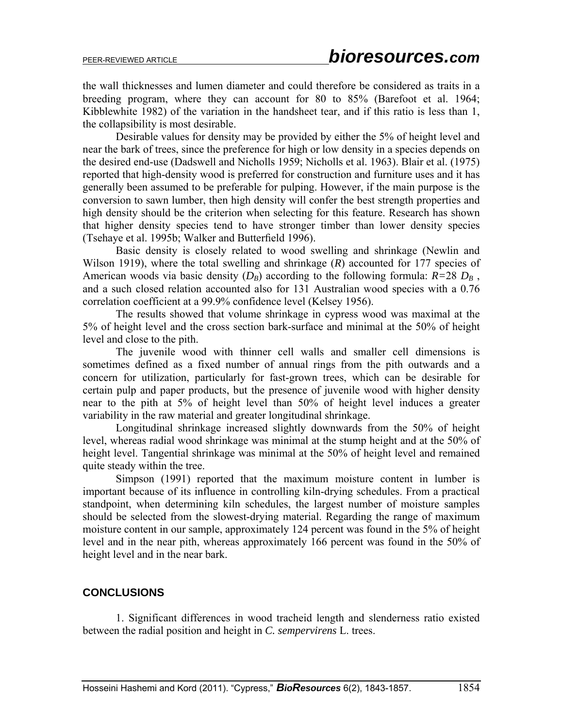the wall thicknesses and lumen diameter and could therefore be considered as traits in a breeding program, where they can account for 80 to 85% (Barefoot et al. 1964; Kibblewhite 1982) of the variation in the handsheet tear, and if this ratio is less than 1, the collapsibility is most desirable.

Desirable values for density may be provided by either the 5% of height level and near the bark of trees, since the preference for high or low density in a species depends on the desired end-use (Dadswell and Nicholls 1959; Nicholls et al. 1963). Blair et al. (1975) reported that high-density wood is preferred for construction and furniture uses and it has generally been assumed to be preferable for pulping. However, if the main purpose is the conversion to sawn lumber, then high density will confer the best strength properties and high density should be the criterion when selecting for this feature. Research has shown that higher density species tend to have stronger timber than lower density species (Tsehaye et al. 1995b; Walker and Butterfield 1996).

Basic density is closely related to wood swelling and shrinkage (Newlin and Wilson 1919), where the total swelling and shrinkage (*R*) accounted for 177 species of American woods via basic density  $(D_B)$  according to the following formula:  $R=28$   $D_B$ , and a such closed relation accounted also for 131 Australian wood species with a 0.76 correlation coefficient at a 99.9% confidence level (Kelsey 1956).

The results showed that volume shrinkage in cypress wood was maximal at the 5% of height level and the cross section bark-surface and minimal at the 50% of height level and close to the pith.

The juvenile wood with thinner cell walls and smaller cell dimensions is sometimes defined as a fixed number of annual rings from the pith outwards and a concern for utilization, particularly for fast-grown trees, which can be desirable for certain pulp and paper products, but the presence of juvenile wood with higher density near to the pith at 5% of height level than 50% of height level induces a greater variability in the raw material and greater longitudinal shrinkage.

Longitudinal shrinkage increased slightly downwards from the 50% of height level, whereas radial wood shrinkage was minimal at the stump height and at the 50% of height level. Tangential shrinkage was minimal at the 50% of height level and remained quite steady within the tree.

Simpson (1991) reported that the maximum moisture content in lumber is important because of its influence in controlling kiln-drying schedules. From a practical standpoint, when determining kiln schedules, the largest number of moisture samples should be selected from the slowest-drying material. Regarding the range of maximum moisture content in our sample, approximately 124 percent was found in the 5% of height level and in the near pith, whereas approximately 166 percent was found in the 50% of height level and in the near bark.

### **CONCLUSIONS**

1. Significant differences in wood tracheid length and slenderness ratio existed between the radial position and height in *C. sempervirens* L. trees.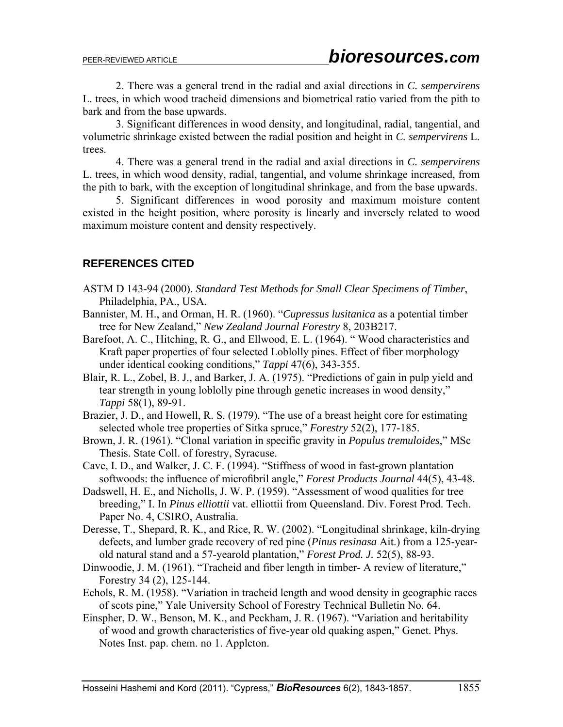2. There was a general trend in the radial and axial directions in *C. sempervirens*  L. trees, in which wood tracheid dimensions and biometrical ratio varied from the pith to bark and from the base upwards.

3. Significant differences in wood density, and longitudinal, radial, tangential, and volumetric shrinkage existed between the radial position and height in *C. sempervirens* L. trees.

4. There was a general trend in the radial and axial directions in *C. sempervirens*  L. trees, in which wood density, radial, tangential, and volume shrinkage increased, from the pith to bark, with the exception of longitudinal shrinkage, and from the base upwards.

5. Significant differences in wood porosity and maximum moisture content existed in the height position, where porosity is linearly and inversely related to wood maximum moisture content and density respectively.

### **REFERENCES CITED**

- ASTM D 143-94 (2000). *Standard Test Methods for Small Clear Specimens of Timber*,Philadelphia, PA., USA.
- Bannister, M. H., and Orman, H. R. (1960). "*Cupressus lusitanica* as a potential timber tree for New Zealand," *New Zealand Journal Forestry* 8, 203B217.
- Barefoot, A. C., Hitching, R. G., and Ellwood, E. L. (1964). "Wood characteristics and Kraft paper properties of four selected Loblolly pines. Effect of fiber morphology under identical cooking conditions," *Tappi* 47(6), 343-355.
- Blair, R. L., Zobel, B. J., and Barker, J. A. (1975). "Predictions of gain in pulp yield and tear strength in young loblolly pine through genetic increases in wood density," *Tappi* 58(1), 89-91.
- Brazier, J. D., and Howell, R. S. (1979). "The use of a breast height core for estimating selected whole tree properties of Sitka spruce," *Forestry* 52(2), 177-185.
- Brown, J. R. (1961). "Clonal variation in specific gravity in *Populus tremuloides*," MSc Thesis. State Coll. of forestry, Syracuse.
- Cave, I. D., and Walker, J. C. F. (1994). "Stiffness of wood in fast-grown plantation softwoods: the influence of microfibril angle," *Forest Products Journal* 44(5), 43-48.
- Dadswell, H. E., and Nicholls, J. W. P. (1959). "Assessment of wood qualities for tree breeding," I. In *Pinus elliottii* vat. elliottii from Queensland. Div. Forest Prod. Tech. Paper No. 4, CSIRO, Australia.
- Deresse, T., Shepard, R. K., and Rice, R. W. (2002). "Longitudinal shrinkage, kiln-drying defects, and lumber grade recovery of red pine (*Pinus resinasa* Ait.) from a 125-year old natural stand and a 57-yearold plantation," *Forest Prod. J.* 52(5), 88-93.
- Dinwoodie, J. M. (1961). "Tracheid and fiber length in timber- A review of literature," Forestry 34 (2), 125-144.
- Echols, R. M. (1958). "Variation in tracheid length and wood density in geographic races of scots pine," Yale University School of Forestry Technical Bulletin No. 64.
- Einspher, D. W., Benson, M. K., and Peckham, J. R. (1967). "Variation and heritability of wood and growth characteristics of five-year old quaking aspen," Genet. Phys. Notes Inst. pap. chem. no 1. Applcton.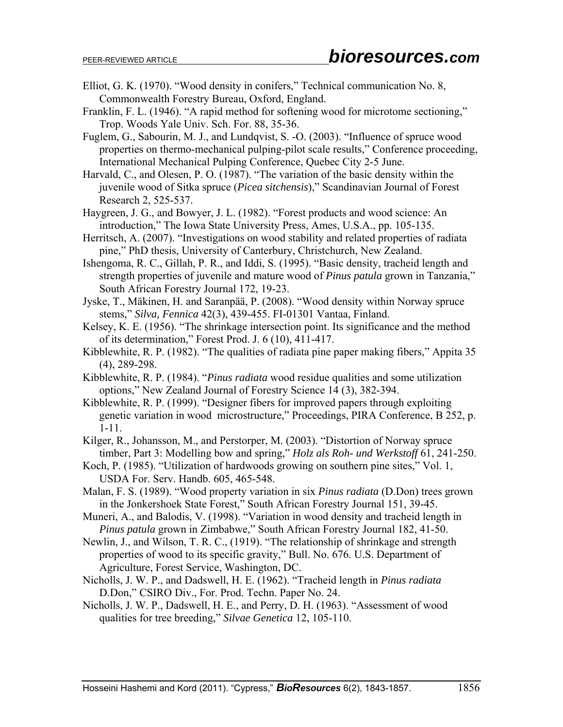- Elliot, G. K. (1970). "Wood density in conifers," Technical communication No. 8, Commonwealth Forestry Bureau, Oxford, England.
- Franklin, F. L. (1946). "A rapid method for softening wood for microtome sectioning," Trop. Woods Yale Univ. Sch. For. 88, 35-36.
- Fuglem, G., Sabourin, M. J., and Lundqvist, S. -O. (2003). "Influence of spruce wood properties on thermo-mechanical pulping-pilot scale results," Conference proceeding, International Mechanical Pulping Conference, Quebec City 2-5 June.
- Harvald, C., and Olesen, P. O. (1987). "The variation of the basic density within the juvenile wood of Sitka spruce (*Picea sitchensis*)," Scandinavian Journal of Forest Research 2, 525-537.
- Haygreen, J. G., and Bowyer, J. L. (1982). "Forest products and wood science: An introduction," The Iowa State University Press, Ames, U.S.A., pp. 105-135.
- Herritsch, A. (2007). "Investigations on wood stability and related properties of radiata pine," PhD thesis, University of Canterbury, Christchurch, New Zealand.
- Ishengoma, R. C., Gillah, P. R., and Iddi, S. (1995). "Basic density, tracheid length and strength properties of juvenile and mature wood of *Pinus patula* grown in Tanzania," South African Forestry Journal 172, 19-23.
- Jyske, T., Mäkinen, H. and Saranpää, P. (2008). "Wood density within Norway spruce stems," *Silva, Fennica* 42(3), 439-455. FI-01301 Vantaa, Finland.
- Kelsey, K. E. (1956). "The shrinkage intersection point. Its significance and the method of its determination," Forest Prod. J. 6 (10), 411-417.
- Kibblewhite, R. P. (1982). "The qualities of radiata pine paper making fibers," Appita 35 (4), 289-298.
- Kibblewhite, R. P. (1984). "*Pinus radiata* wood residue qualities and some utilization options," New Zealand Journal of Forestry Science 14 (3), 382-394.
- Kibblewhite, R. P. (1999). "Designer fibers for improved papers through exploiting genetic variation in wood microstructure," Proceedings, PIRA Conference, B 252, p. 1-11.
- Kilger, R., Johansson, M., and Perstorper, M. (2003). "Distortion of Norway spruce timber, Part 3: Modelling bow and spring," *Holz als Roh- und Werkstoff* 61, 241-250.
- Koch, P. (1985). "Utilization of hardwoods growing on southern pine sites," Vol. 1, USDA For. Serv. Handb. 605, 465-548.
- Malan, F. S. (1989). "Wood property variation in six *Pinus radiata* (D.Don) trees grown in the Jonkershoek State Forest," South African Forestry Journal 151, 39-45.
- Muneri, A., and Balodis, V. (1998). "Variation in wood density and tracheid length in *Pinus patula* grown in Zimbabwe," South African Forestry Journal 182, 41-50.
- Newlin, J., and Wilson, T. R. C., (1919). "The relationship of shrinkage and strength properties of wood to its specific gravity," Bull. No. 676. U.S. Department of Agriculture, Forest Service, Washington, DC.
- Nicholls, J. W. P., and Dadswell, H. E. (1962). "Tracheid length in *Pinus radiata* D.Don," CSIRO Div., For. Prod. Techn. Paper No. 24.
- Nicholls, J. W. P., Dadswell, H. E., and Perry, D. H. (1963). "Assessment of wood qualities for tree breeding," *Silvae Genetica* 12, 105-110.